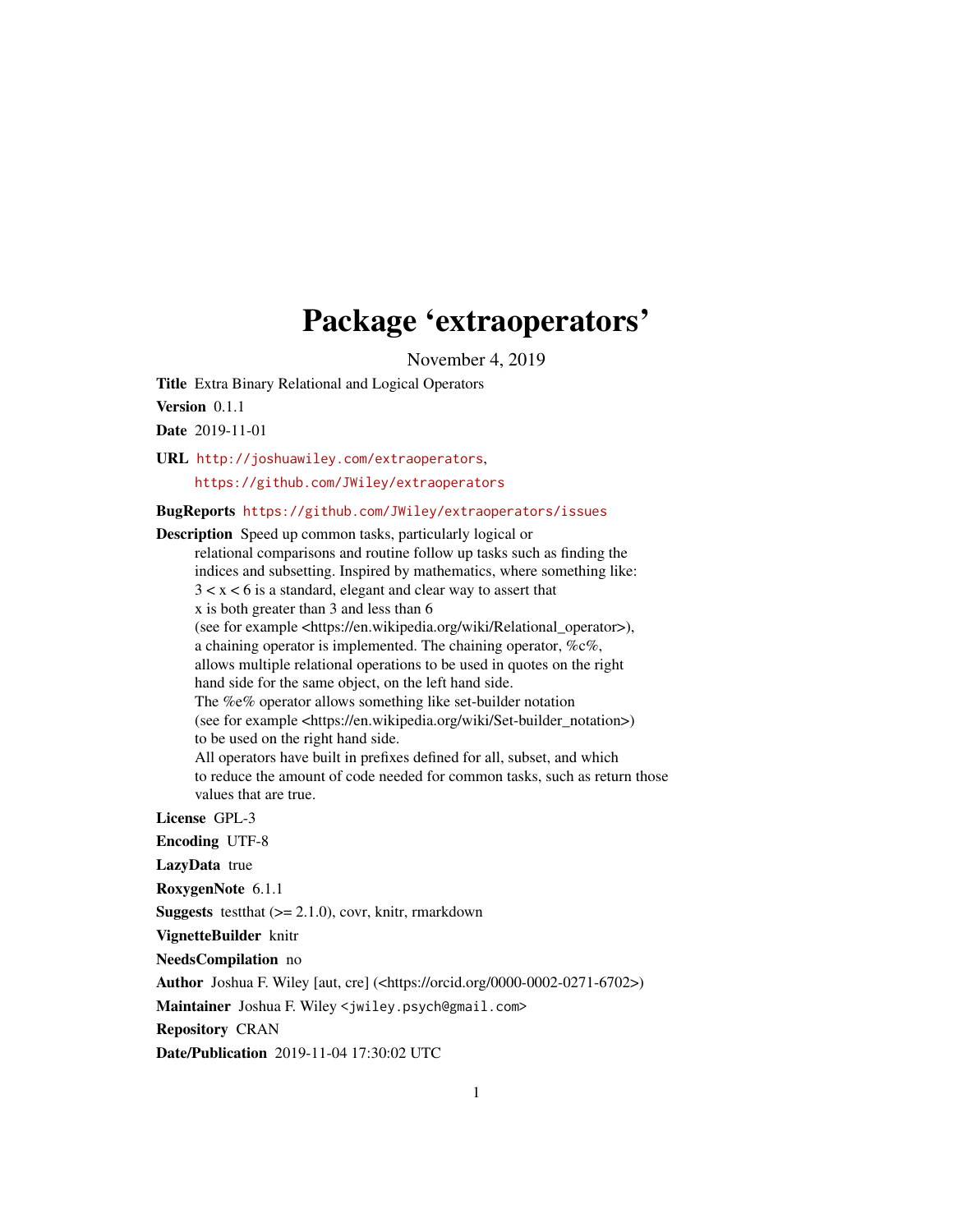# Package 'extraoperators'

November 4, 2019

Title Extra Binary Relational and Logical Operators Version 0.1.1

Date 2019-11-01

URL <http://joshuawiley.com/extraoperators>, <https://github.com/JWiley/extraoperators>

BugReports <https://github.com/JWiley/extraoperators/issues>

Description Speed up common tasks, particularly logical or

relational comparisons and routine follow up tasks such as finding the indices and subsetting. Inspired by mathematics, where something like:  $3 < x < 6$  is a standard, elegant and clear way to assert that x is both greater than 3 and less than 6 (see for example <https://en.wikipedia.org/wiki/Relational\_operator>), a chaining operator is implemented. The chaining operator, %c%, allows multiple relational operations to be used in quotes on the right hand side for the same object, on the left hand side. The %e% operator allows something like set-builder notation (see for example <https://en.wikipedia.org/wiki/Set-builder\_notation>) to be used on the right hand side. All operators have built in prefixes defined for all, subset, and which to reduce the amount of code needed for common tasks, such as return those values that are true.

License GPL-3

Encoding UTF-8

LazyData true

RoxygenNote 6.1.1

**Suggests** test that  $(>= 2.1.0)$ , covr, knitr, rmarkdown

VignetteBuilder knitr

NeedsCompilation no

Author Joshua F. Wiley [aut, cre] (<https://orcid.org/0000-0002-0271-6702>)

Maintainer Joshua F. Wiley <jwiley.psych@gmail.com>

Repository CRAN

Date/Publication 2019-11-04 17:30:02 UTC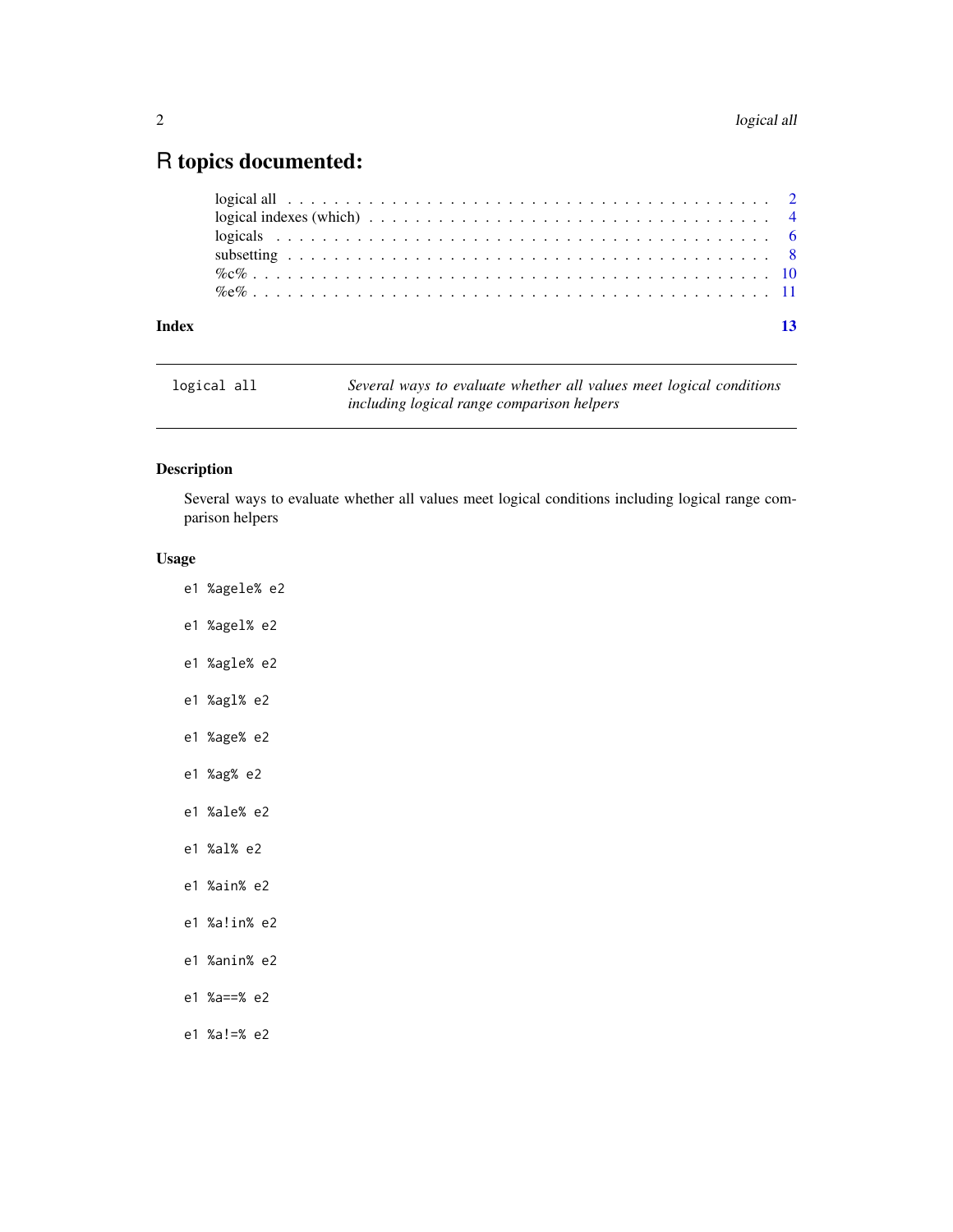# <span id="page-1-0"></span>R topics documented:

| Index | 13 |  |
|-------|----|--|

| logical all | Several ways to evaluate whether all values meet logical conditions |
|-------------|---------------------------------------------------------------------|
|             | including logical range comparison helpers                          |

# Description

Several ways to evaluate whether all values meet logical conditions including logical range comparison helpers

# Usage

- e1 %agele% e2
- e1 %agel% e2
- e1 %agle% e2
- e1 %agl% e2
- e1 %age% e2
- e1 %ag% e2
- e1 %ale% e2
- e1 %al% e2
- e1 %ain% e2
- e1 %a!in% e2
- e1 %anin% e2
- e1 %a==% e2
- e1 %a!=% e2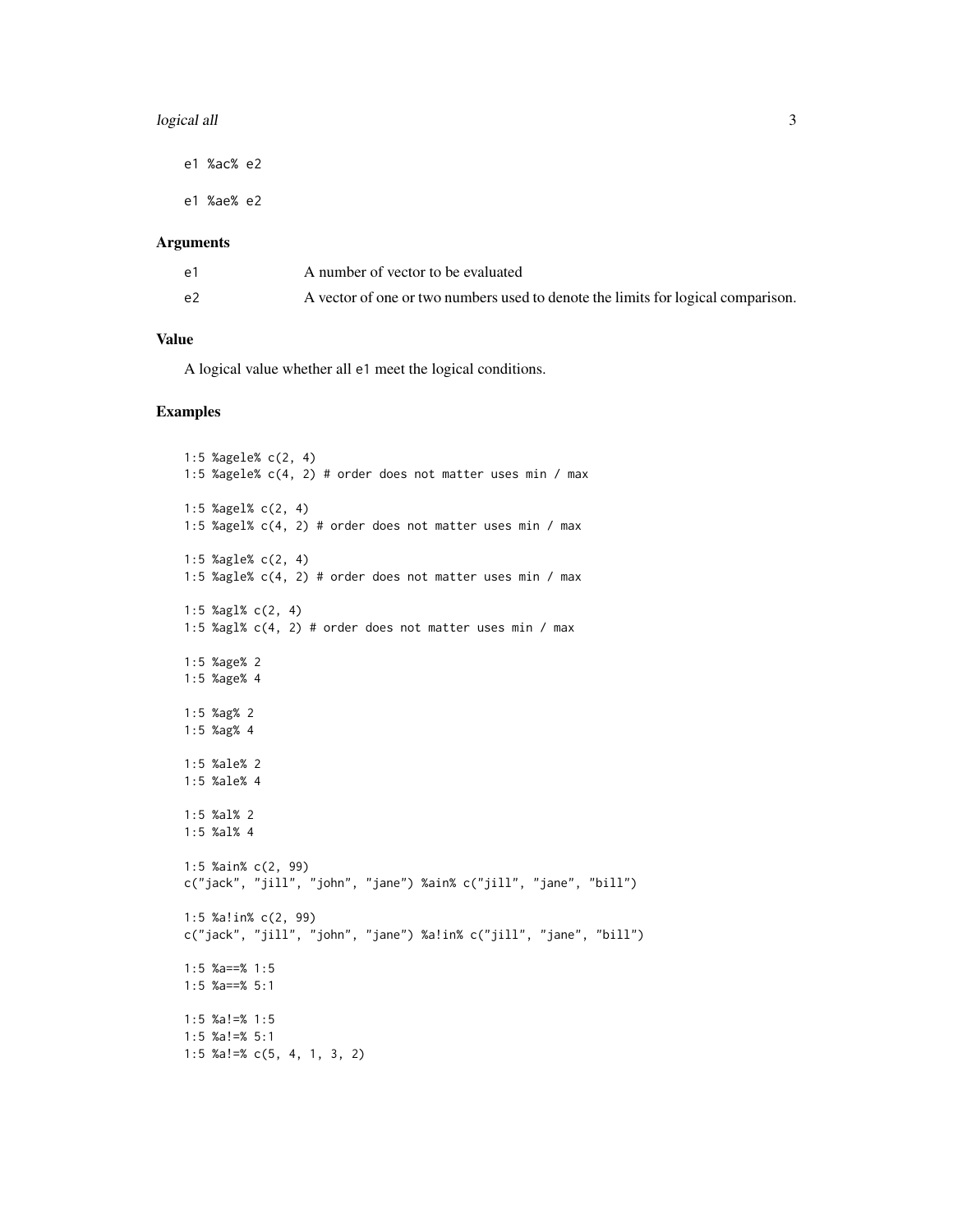# logical all  $\overline{3}$

e1 %ac% e2

e1 %ae% e2

# Arguments

| e1 | A number of vector to be evaluated                                               |
|----|----------------------------------------------------------------------------------|
| e2 | A vector of one or two numbers used to denote the limits for logical comparison. |

# Value

A logical value whether all e1 meet the logical conditions.

```
1:5 %agele% c(2, 4)
1:5 %agele% c(4, 2) # order does not matter uses min / max
1:5 %agel% c(2, 4)
1:5 %agel% c(4, 2) # order does not matter uses min / max
1:5 %agle% c(2, 4)
1:5 %agle% c(4, 2) # order does not matter uses min / max
1:5 %agl% c(2, 4)
1:5 %agl% c(4, 2) # order does not matter uses min / max
1:5 %age% 2
1:5 %age% 4
1:5 %ag% 2
1:5 %ag% 4
1:5 %ale% 2
1:5 %ale% 4
1:5 %al% 2
1:5 %al% 4
1:5 %ain% c(2, 99)
c("jack", "jill", "john", "jane") %ain% c("jill", "jane", "bill")
1:5 %a!in% c(2, 99)
c("jack", "jill", "john", "jane") %a!in% c("jill", "jane", "bill")
1:5 %a==% 1:5
1:5 %a==% 5:1
1:5 %a!=% 1:5
1:5 %a!=% 5:1
1:5 %a!=% c(5, 4, 1, 3, 2)
```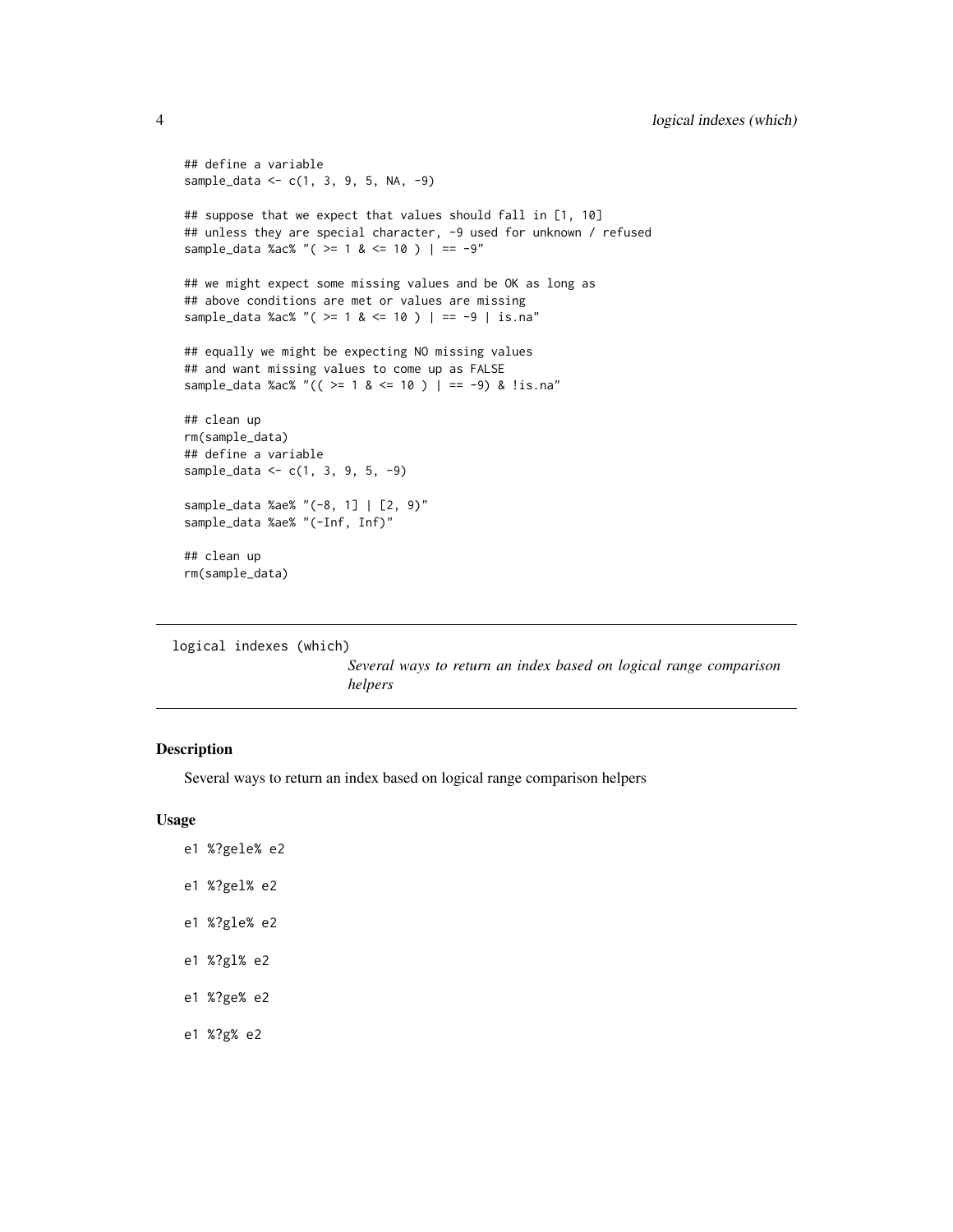```
## define a variable
sample_data <- c(1, 3, 9, 5, NA, -9)
## suppose that we expect that values should fall in [1, 10]
## unless they are special character, -9 used for unknown / refused
sample_data %ac% "( >= 1 & <= 10 ) | == -9"
## we might expect some missing values and be OK as long as
## above conditions are met or values are missing
sample_data %ac% "( >= 1 & <= 10 ) | == -9 | is.na"
## equally we might be expecting NO missing values
## and want missing values to come up as FALSE
sample_data %ac% "(( >= 1 & <= 10 ) | == -9) & !is.na"
## clean up
rm(sample_data)
## define a variable
sample_data <- c(1, 3, 9, 5, -9)
sample_data %ae% "(-8, 1] | [2, 9)"
sample_data %ae% "(-Inf, Inf)"
```

```
## clean up
rm(sample_data)
```
logical indexes (which)

*Several ways to return an index based on logical range comparison helpers*

# Description

Several ways to return an index based on logical range comparison helpers

# Usage

- e1 %?gele% e2
- e1 %?gel% e2
- e1 %?gle% e2
- e1 %?gl% e2
- e1 %?ge% e2
- e1 %?g% e2

<span id="page-3-0"></span>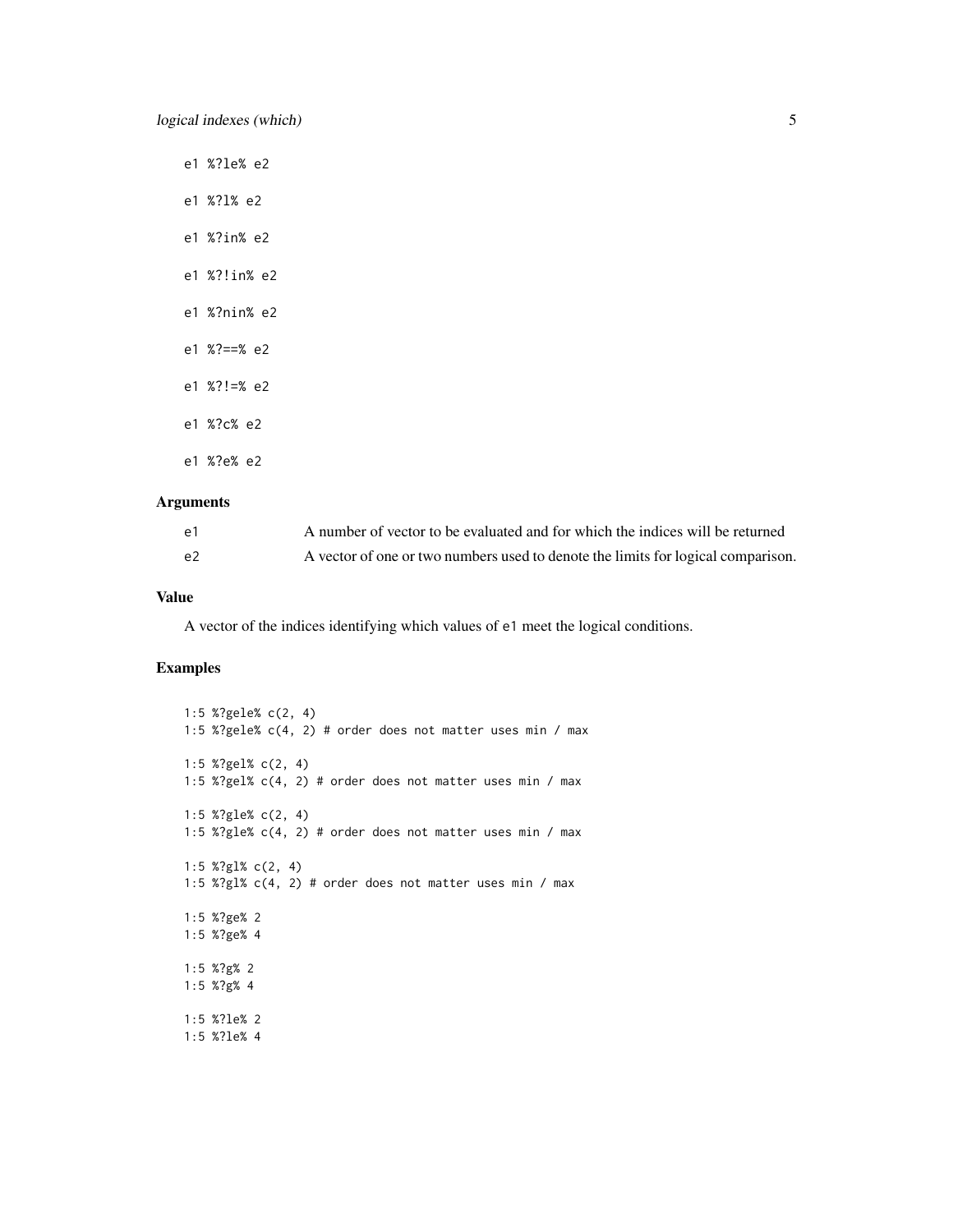- e1 %?le% e2
- e1 %?l% e2
- e1 %?in% e2
- e1 %?!in% e2
- e1 %?nin% e2
- e1 %?==% e2
- e1 %?!=% e2
- e1 %?c% e2
- e1 %?e% e2

# Arguments

| e1 | A number of vector to be evaluated and for which the indices will be returned    |
|----|----------------------------------------------------------------------------------|
| e2 | A vector of one or two numbers used to denote the limits for logical comparison. |

# Value

A vector of the indices identifying which values of e1 meet the logical conditions.

```
1:5 %?gele% c(2, 4)
1:5 %?gele% c(4, 2) # order does not matter uses min / max
1:5 %?gel% c(2, 4)
1:5 %?gel% c(4, 2) # order does not matter uses min / max
1:5 %?gle% c(2, 4)
1:5 %?gle% c(4, 2) # order does not matter uses min / max
1:5 %?gl% c(2, 4)
1:5 %?gl% c(4, 2) # order does not matter uses min / max
1:5 %?ge% 2
1:5 %?ge% 4
1:5 %?g% 2
1:5 %?g% 4
1:5 %?le% 2
1:5 %?le% 4
```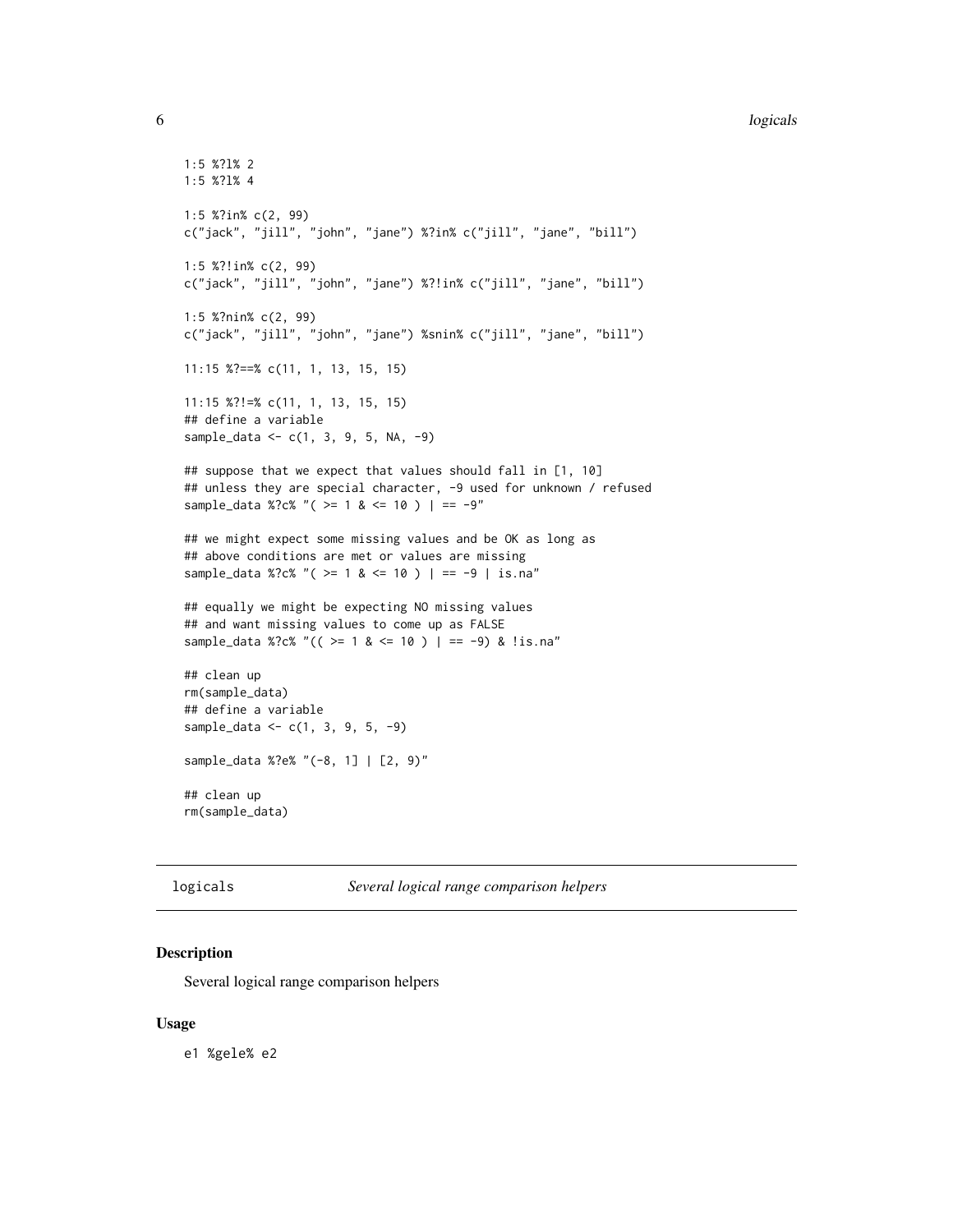# **6** logicals **6** logicals **6** logicals **6** logicals **6** logicals **6** logicals **6** logicals **6** logicals **6** logicals **6** logicals **6** logicals **6** logicals **6** logicals **6** logicals **6** logicals **6** logicals **6** logicals

```
1:5 %?l% 2
1:5 %?l% 4
1:5 %?in% c(2, 99)
c("jack", "jill", "john", "jane") %?in% c("jill", "jane", "bill")
1:5 %?!in% c(2, 99)
c("jack", "jill", "john", "jane") %?!in% c("jill", "jane", "bill")
1:5 %?nin% c(2, 99)
c("jack", "jill", "john", "jane") %snin% c("jill", "jane", "bill")
11:15 %?==% c(11, 1, 13, 15, 15)
11:15 %?!=% c(11, 1, 13, 15, 15)
## define a variable
sample_data <- c(1, 3, 9, 5, NA, -9)
## suppose that we expect that values should fall in [1, 10]
## unless they are special character, -9 used for unknown / refused
sample_data %?c% "( >= 1 & <= 10 ) | == -9"
## we might expect some missing values and be OK as long as
## above conditions are met or values are missing
sample_data %?c% "( >= 1 & <= 10 ) | == -9 | is.na"
## equally we might be expecting NO missing values
## and want missing values to come up as FALSE
sample_data %?c% "(( >= 1 & <= 10 ) | == -9) & !is.na"
## clean up
rm(sample_data)
## define a variable
sample_data <- c(1, 3, 9, 5, -9)
sample_data %?e% "(-8, 1] | [2, 9)"
## clean up
rm(sample_data)
```
logicals *Several logical range comparison helpers*

# Description

Several logical range comparison helpers

# Usage

e1 %gele% e2

<span id="page-5-0"></span>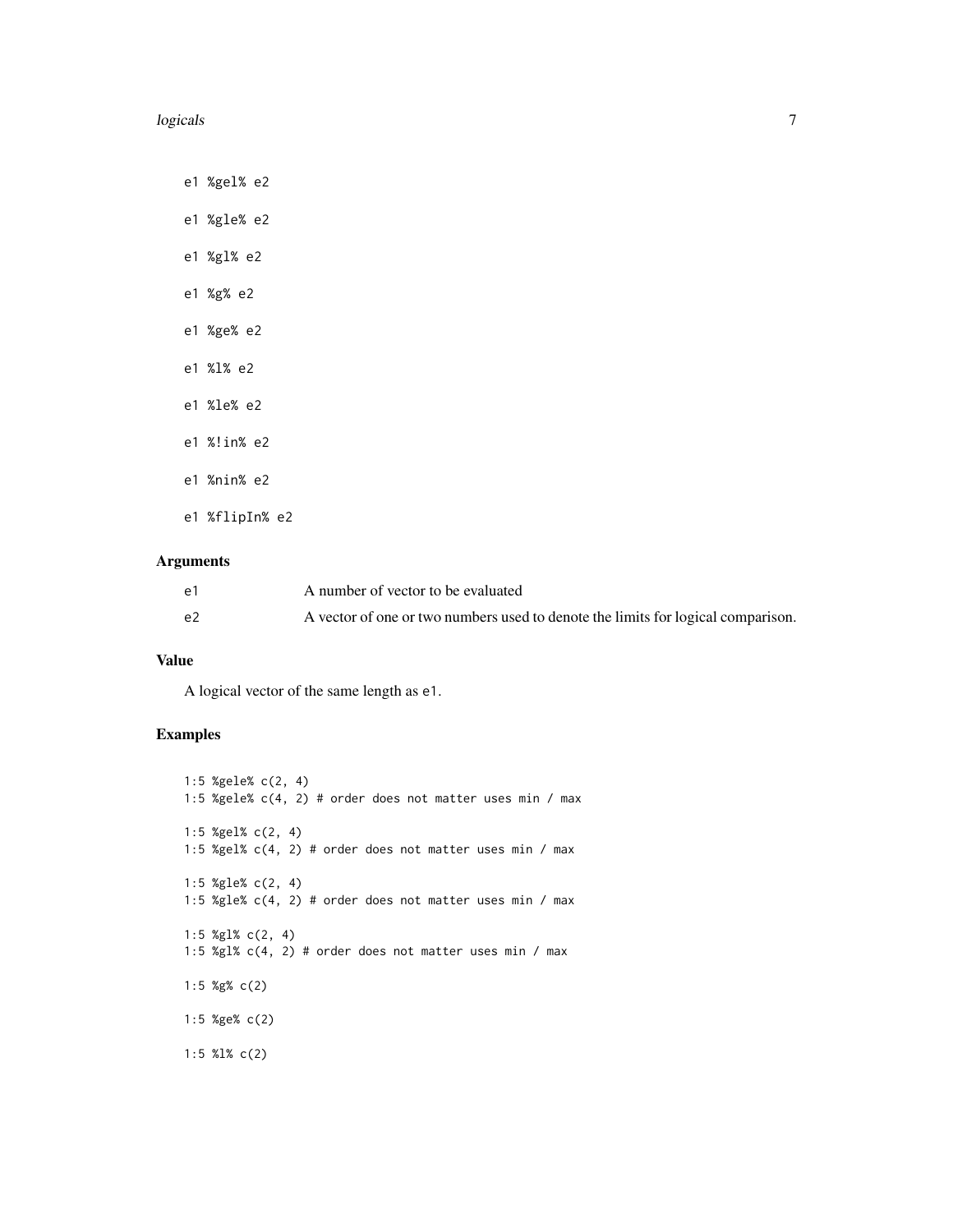# logicals **2006 logicals** 7

e1 %gel% e2

e1 %gle% e2

- e1 %gl% e2
- e1 %g% e2
- e1 %ge% e2
- e1 %l% e2
- e1 %le% e2
- e1 %!in% e2
- e1 %nin% e2

e1 %flipIn% e2

# Arguments

| e1 | A number of vector to be evaluated                                               |
|----|----------------------------------------------------------------------------------|
| e2 | A vector of one or two numbers used to denote the limits for logical comparison. |

# Value

A logical vector of the same length as e1.

```
1:5 %gele% c(2, 4)
1:5 %gele% c(4, 2) # order does not matter uses min / max
1:5 %gel% c(2, 4)
1:5 %gel% c(4, 2) # order does not matter uses min / max
1:5 %gle% c(2, 4)
1:5 %gle% c(4, 2) # order does not matter uses min / max
1:5 %gl% c(2, 4)
1:5 %gl% c(4, 2) # order does not matter uses min / max
1:5 %g% c(2)
1:5 %ge% c(2)
1:5 %l% c(2)
```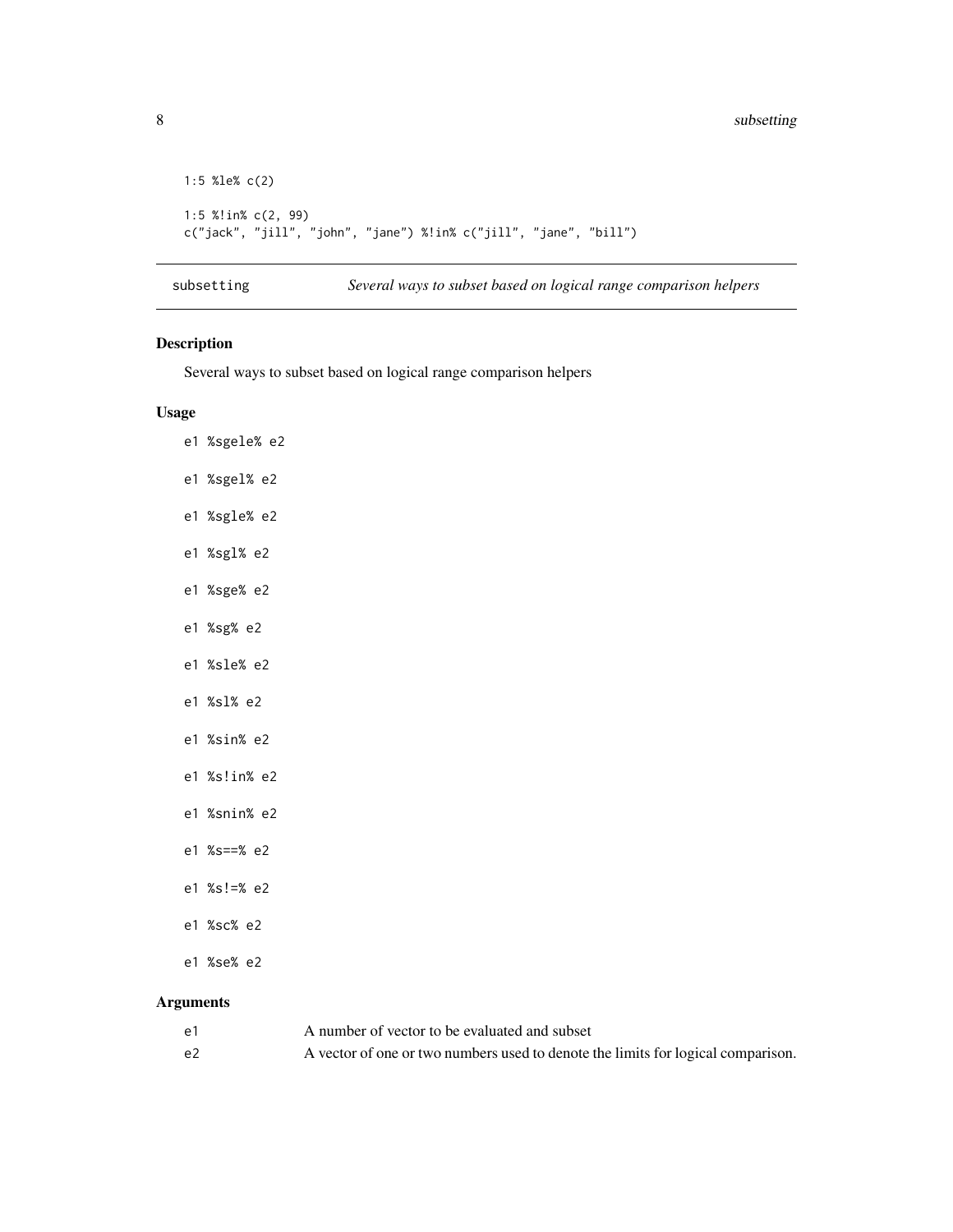```
1:5 %le% c(2)
1:5 %!in% c(2, 99)
c("jack", "jill", "john", "jane") %!in% c("jill", "jane", "bill")
```
subsetting *Several ways to subset based on logical range comparison helpers*

# Description

Several ways to subset based on logical range comparison helpers

# Usage

- e1 %sgele% e2
- e1 %sgel% e2
- e1 %sgle% e2
- e1 %sgl% e2
- e1 %sge% e2
- e1 %sg% e2
- e1 %sle% e2
- e1 %sl% e2
- e1 %sin% e2
- e1 %s!in% e2
- e1 %snin% e2
- e1 %s==% e2
- e1 %s!=% e2
- e1 %sc% e2
- e1 %se% e2

# Arguments

| e1 | A number of vector to be evaluated and subset                                    |
|----|----------------------------------------------------------------------------------|
| e2 | A vector of one or two numbers used to denote the limits for logical comparison. |

<span id="page-7-0"></span>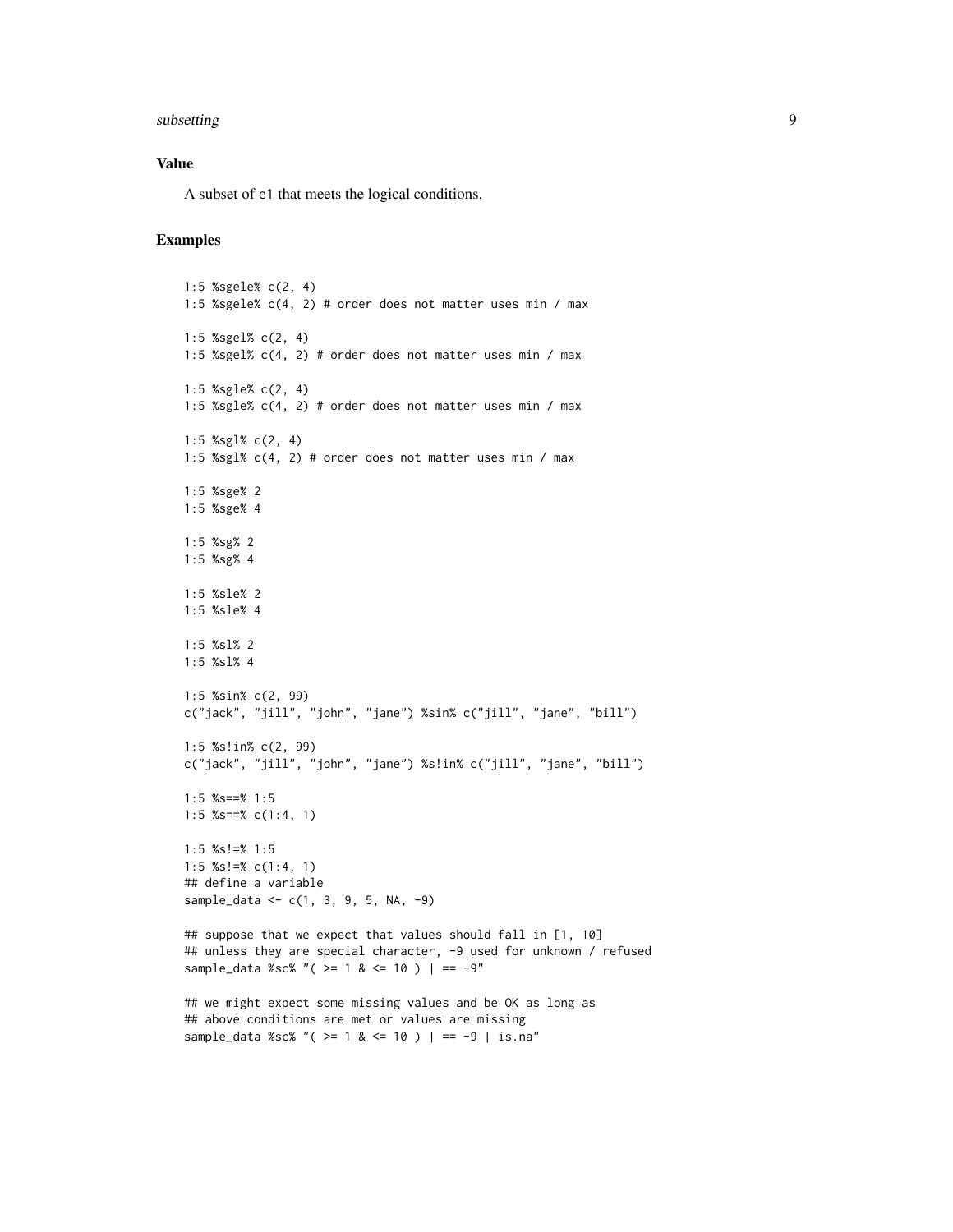# subsetting the contract of the contract of the contract of the contract of the contract of the contract of the contract of the contract of the contract of the contract of the contract of the contract of the contract of the

# Value

A subset of e1 that meets the logical conditions.

```
1:5 %sgele% c(2, 4)
1:5 %sgele% c(4, 2) # order does not matter uses min / max
1:5 %sgel% c(2, 4)
1:5 %sgel% c(4, 2) # order does not matter uses min / max
1:5 %sgle% c(2, 4)
1:5 %sgle% c(4, 2) # order does not matter uses min / max
1:5 %sgl% c(2, 4)
1:5 %sgl% c(4, 2) # order does not matter uses min / max
1:5 %sge% 2
1:5 %sge% 4
1:5 %sg% 2
1:5 %sg% 4
1:5 %sle% 2
1:5 %sle% 4
1:5 %sl% 2
1:5 %sl% 4
1:5 %sin% c(2, 99)
c("jack", "jill", "john", "jane") %sin% c("jill", "jane", "bill")
1:5 %s!in% c(2, 99)
c("jack", "jill", "john", "jane") %s!in% c("jill", "jane", "bill")
1:5 %s==% 1:5
1:5 %s==% c(1:4, 1)
1:5 %s!=% 1:5
1:5 %s!=% c(1:4, 1)
## define a variable
sample_data <- c(1, 3, 9, 5, NA, -9)
## suppose that we expect that values should fall in [1, 10]
## unless they are special character, -9 used for unknown / refused
sample_data %sc% "( > = 1 & <= 10 ) | == -9"
## we might expect some missing values and be OK as long as
## above conditions are met or values are missing
sample_data %sc% "( >= 1 & <= 10 ) | == -9 | is.na"
```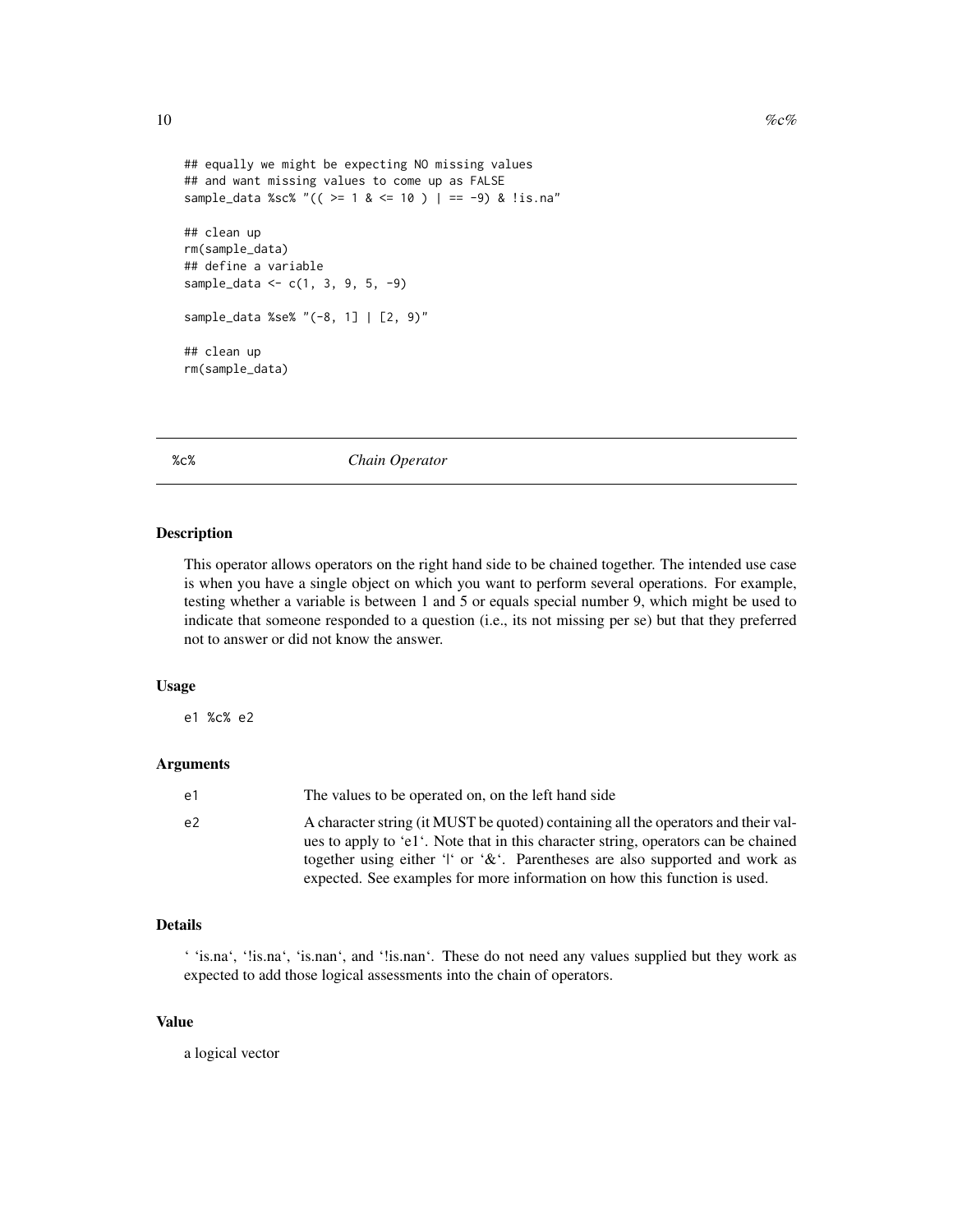```
## equally we might be expecting NO missing values
## and want missing values to come up as FALSE
sample_data %sc% "(( >= 1 & <= 10 ) | == -9) & !is.na"
## clean up
rm(sample_data)
## define a variable
sample_data <- c(1, 3, 9, 5, -9)
sample_data %se% "(-8, 1] | [2, 9)"
## clean up
rm(sample_data)
```
%c% *Chain Operator*

### Description

This operator allows operators on the right hand side to be chained together. The intended use case is when you have a single object on which you want to perform several operations. For example, testing whether a variable is between 1 and 5 or equals special number 9, which might be used to indicate that someone responded to a question (i.e., its not missing per se) but that they preferred not to answer or did not know the answer.

# Usage

e1 %c% e2

# Arguments

| e1 | The values to be operated on, on the left hand side                                                                                                                                                                                                                                                                                       |
|----|-------------------------------------------------------------------------------------------------------------------------------------------------------------------------------------------------------------------------------------------------------------------------------------------------------------------------------------------|
| e2 | A character string (it MUST be quoted) containing all the operators and their val-<br>ues to apply to 'e1'. Note that in this character string, operators can be chained<br>together using either '' or ' $\&$ '. Parentheses are also supported and work as<br>expected. See examples for more information on how this function is used. |

# Details

' 'is.na', '!is.na', 'is.nan', and '!is.nan'. These do not need any values supplied but they work as expected to add those logical assessments into the chain of operators.

# Value

a logical vector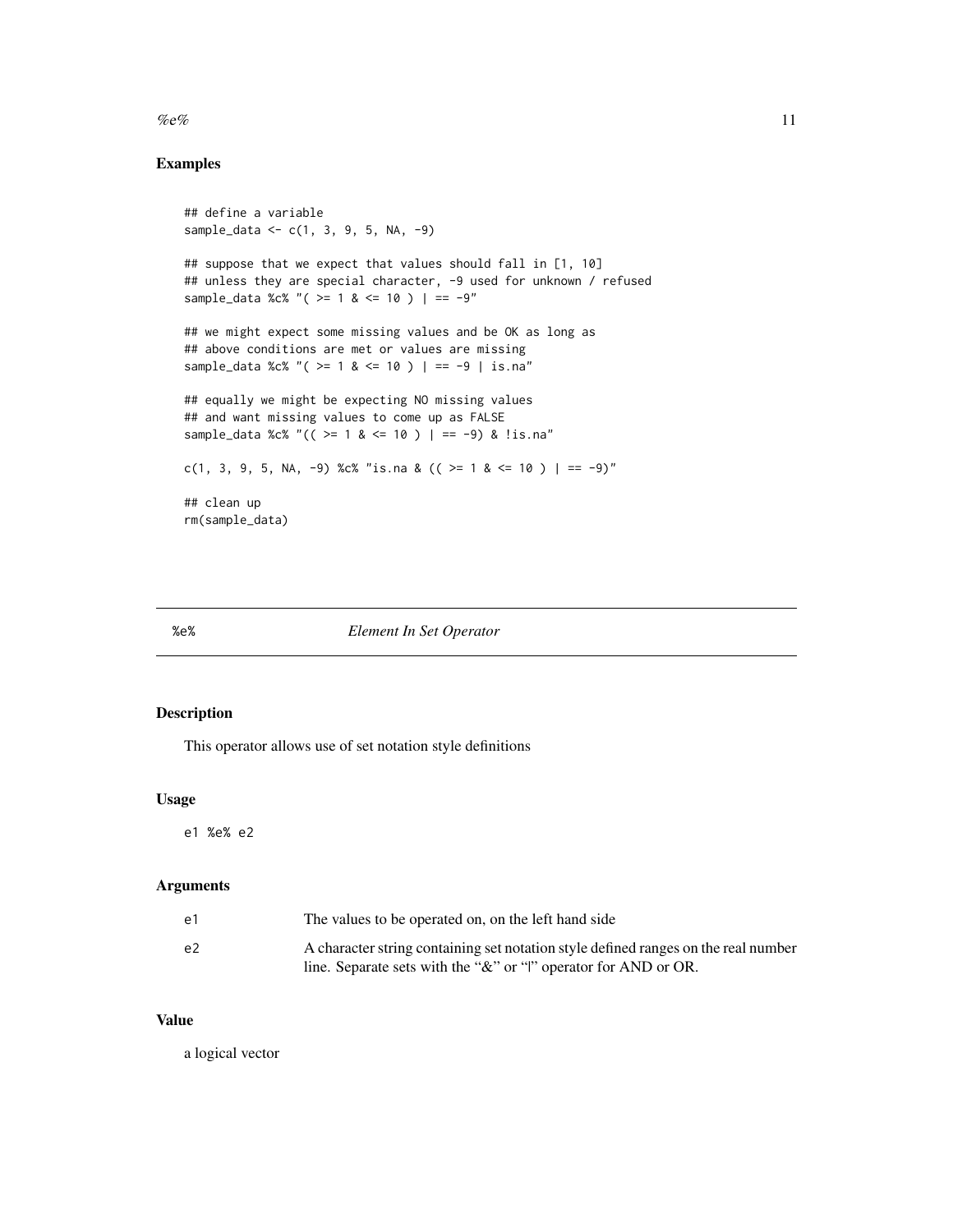# <span id="page-10-0"></span> $\%e\%$  11

# Examples

```
## define a variable
sample_data <- c(1, 3, 9, 5, NA, -9)
## suppose that we expect that values should fall in [1, 10]
## unless they are special character, -9 used for unknown / refused
sample_data %c% "( >= 1 & <= 10 ) | == -9"
## we might expect some missing values and be OK as long as
## above conditions are met or values are missing
sample_data %c% "( >= 1 & <= 10 ) | == -9 | is.na"
## equally we might be expecting NO missing values
## and want missing values to come up as FALSE
sample_data %c% "(( >= 1 & <= 10 ) | == -9) & !is.na"
c(1, 3, 9, 5, NA, -9) %c% "is.na & (( >= 1 & <= 10 ) | == -9)"
## clean up
rm(sample_data)
```
%e% *Element In Set Operator*

# Description

This operator allows use of set notation style definitions

# Usage

e1 %e% e2

# Arguments

| e1 | The values to be operated on, on the left hand side                                                                                                        |
|----|------------------------------------------------------------------------------------------------------------------------------------------------------------|
| e2 | A character string containing set notation style defined ranges on the real number<br>line. Separate sets with the " $\&$ " or " " operator for AND or OR. |

# Value

a logical vector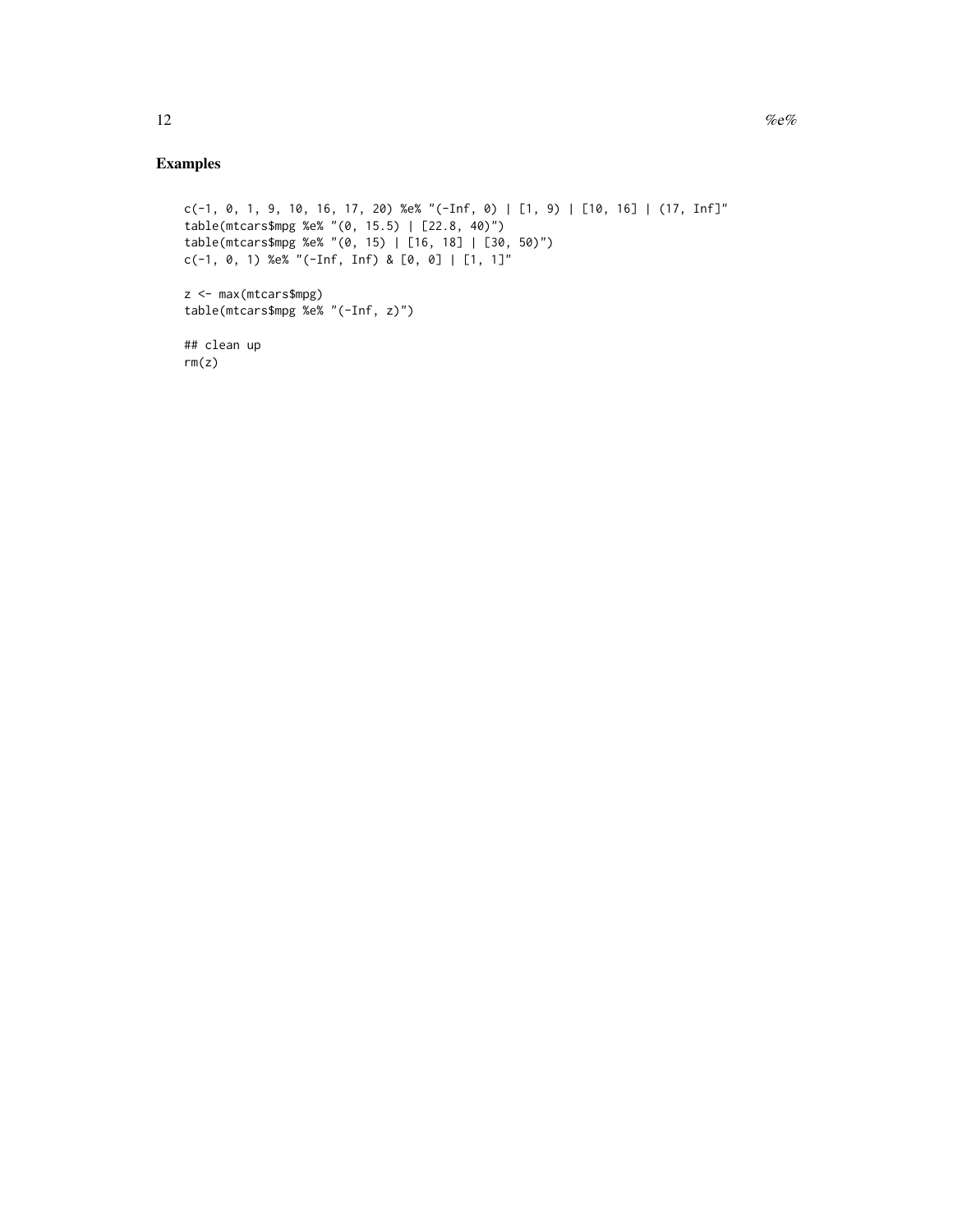```
c(-1, 0, 1, 9, 10, 16, 17, 20) %e% "(-Inf, 0) | [1, 9) | [10, 16] | (17, Inf]"
table(mtcars$mpg %e% "(0, 15.5) | [22.8, 40)")
table(mtcars$mpg %e% "(0, 15) | [16, 18] | [30, 50)")
c(-1, 0, 1) %e% "(-Inf, Inf) & [0, 0] | [1, 1]"
z <- max(mtcars$mpg)
table(mtcars$mpg %e% "(-Inf, z)")
## clean up
rm(z)
```